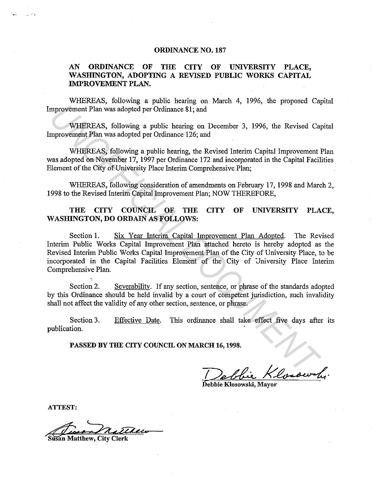## ORDINANCE NO. 187

## AN ORDINANCE OF THE CITY OF UNIVERSITY PLACE, WASHINGTON, ADOPTING A REVISED PUBLIC WORKS CAPITAL IMPROVEMENT PLAN.

WHEREAS, following a public hearing on March 4, 1996, the proposed Capital Improvement Plan was adopted per Ordinance 81; and

WHEREAS, following a public hearing on December 3, 1996, the Revised Capital Improvement Plan was adopted per Ordinance 126; and

WHEREAS, following a public hearing, the Revised Interim Capital Improvement Plan was adopted on November 17, 1997 per Ordinance 172 and incorporated in the Capital Facilities Element of the City of University Place Interim Comprehensive Plan;

WHEREAS, following consideration of amendments on February 17, 1998 and March 2, 1998 to the Revised Interim Capital Improvement Plan; NOW THEREFORE,

## THE CITY COUNCIL OF THE CITY OF UNIVERSITY PLACE, WASHINGTON, DO ORDAIN AS FOLLOWS:

Section 1. Six Year Interim Capital Improvement Plan Adopted. The Revised Interim Public Works Capital Improvement Plan attached hereto is hereby adopted as the Revised Interim Public Works Capital Improvement Plan of the City of University Place, to be incorporated in the Capital Facilities Element of the City of University Place Interim Comprehensive Plan. mprovement Plan was adopted per Ordinance 81; and<br>
WHEREAS, following a public hearing on December 3, 1996, the Revised Cap<br>
myrovement Plan was adopted per Ordinance 126; and<br>
WHEREAS, following a public hearing, the Revi

Section 2. Severability. If any section, sentence, or phrase of the standards adopted by this Ordinance should be held invalid by a court of competent jurisdiction, such invalidity shall not affect the validity of any other section, sentence, or phrase.

Section 3. publication. Effective Date. This ordinance shall take effect five days after its

PASSED BY THE CITY COUNCIL ON MARCH 16, 1998.

Debbie Klosowy

ATTEST:

an Matthew, City Clerk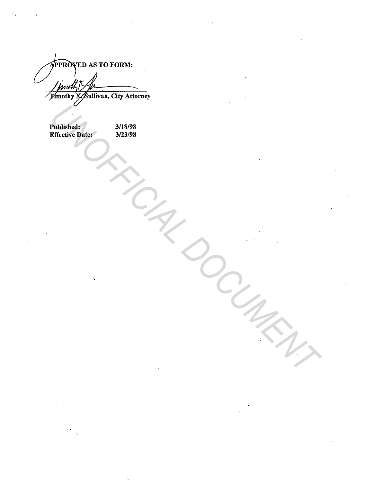**PPROVED AS TO FORM:** /*juwith fu* 

| ◡                                     |                    |
|---------------------------------------|--------------------|
| <b>Published:<br/>Effective Date:</b> | 3/18/98<br>3/23/98 |
|                                       |                    |
|                                       |                    |
|                                       |                    |
|                                       |                    |
|                                       |                    |
|                                       |                    |
|                                       |                    |
|                                       |                    |
| $\tilde{\mathcal{A}}$                 |                    |
|                                       |                    |
|                                       |                    |
|                                       |                    |
|                                       |                    |
|                                       |                    |
|                                       |                    |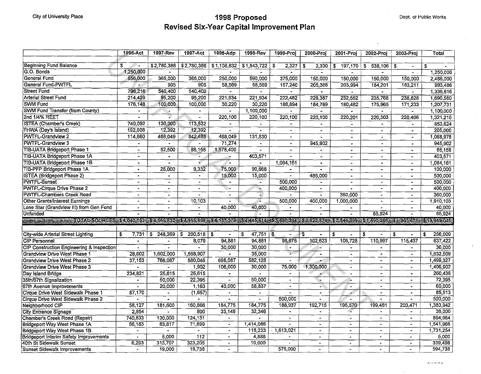$\mathcal{A}^{\mathcal{A}}$ 

## City of University Place **1998 Proposed** Dept. of Public Works **City of Dept. of Public Works Revised Six-Year Capital Improvement Plan**

| 52,780,386<br>\$2,780,386<br><b>Beginning Fund Balance</b><br>\$<br>51,108,832<br>51,543,722<br>$\ddot{\bm{s}}$<br>$\overline{\boldsymbol{s}}$<br>2,327<br>2,330<br>197,170<br>$\overline{\mathbf{s}}$<br>538,106<br>\$<br>\$<br>S.<br>۰.<br>$\ddot{\phantom{1}}$<br>G.O. Bonds<br>1,250,000<br>1,250,000<br><b>General Fund</b><br>556,000<br>365,000<br>250,000<br>365,000<br>590.000<br>375,000<br>150,000<br>150,000<br>2,486,000<br>150,000<br>150,000<br>General Fund-PWTFL<br>905<br>905<br>58,569<br>58,569<br>157,240<br>205,366<br>993,486<br>203,994<br>184,201<br>183,211<br><b>Street Fund</b><br>796,216<br>540,400<br>540,400<br>1,336,616<br>$\blacksquare$<br>$\blacksquare$<br>$\ddot{\phantom{0}}$<br>$\blacksquare$<br>$\blacksquare$<br>$\overline{\phantom{a}}$<br><b>Arterial Street Fund</b><br>95,200<br>95,200<br>214,429<br>221,934<br>221,934<br>222,482<br>1,690,580<br>229.387<br>232.552<br>235.768<br>238.828<br>SWM Fund<br>176,148<br>100,000<br>30,220<br>30,220<br>100,000<br>188,894<br>184,789<br>175,965<br>171,233<br>1,207,731<br>180,482<br><b>SWM Fund Transfer (from County)</b><br>1,100,000<br>1,100,000<br>٠.<br>$\blacksquare$<br>2nd 1/4% REET<br>₽<br>220,100<br>220,100<br>220,100<br>220,100<br>220,303<br>1,321,210<br>220,201<br>220.406<br>$\ddot{\phantom{1}}$<br><b>ISTEA (Chamber's Creek)</b><br>740,092<br>130,000<br>113,532<br>853.624<br>$\blacksquare$<br>$\overline{\phantom{0}}$<br>192,608<br>12,392<br>12,392<br>FHWA (Day's Island)<br>205,000<br>$\blacksquare$<br>$\bullet$<br>$\blacksquare$<br><b>PWTFL-Grandview 2</b><br>114,660<br>468,049<br>468,049<br>131,830<br>842,488<br>1,088,978<br>$\blacksquare$<br>$\overline{\phantom{a}}$<br>$\blacksquare$<br>$\overline{\phantom{0}}$<br>$\sim$<br>PWTFL-Grandview 3<br>71,274<br>945,902<br>945,902<br>$\sim$<br>$\blacksquare$<br>$\sim$<br>$\bullet$<br>٠<br>$\blacksquare$<br>$\bullet$<br>52,500<br>86.158<br>1,578,400<br>86 158<br>$\blacksquare$<br>$\Delta$<br>$\blacksquare$<br>$\bullet$<br>$\blacksquare$<br>$\bullet$<br>403,571<br>403,571<br>Ξ.<br>$\blacksquare$<br>$\blacksquare$<br>$\blacksquare$<br>$\blacksquare$<br>$\blacksquare$<br>$\blacksquare$<br><b>TIB-UATA Bridgeport Phase 1B</b><br>$\mathcal{L}$<br>1,084,161<br>1,084,161<br>$\blacksquare$<br>$\bullet$<br>$\blacksquare$<br>$\blacksquare$<br>90,668<br>25,000<br>9,332<br>75,000<br>100,000<br>$\blacksquare$<br>$\blacksquare$<br>$\frac{1}{2}$<br>$\blacksquare$<br>$\blacksquare$<br><b>ISTEA</b> (Bridgeport Phase 2)<br>15,000<br>15,000<br>485,000<br>500,000<br>$\bullet$<br>$\overline{\phantom{a}}$<br>$\blacksquare$<br>$\sim$<br>$\overline{\phantom{0}}$<br>$\bullet$<br>500,000<br>500,000<br>$\sim$<br>$\Delta$<br>$\sim$<br>$\bullet$<br>$\blacksquare$<br>$\blacksquare$<br>$\blacksquare$<br>$\bullet$<br>$\blacksquare$<br><b>PWTFL-Cirque Drive Phase 2</b><br>400,000<br>400,000<br>$\blacksquare$<br>$\blacksquare$<br>$\bullet$<br>١.<br>$\blacksquare$<br>$\blacksquare$<br>$\bullet$<br>$\bullet$<br><b>PWTFL-Chambers Creek Road</b><br>360,000<br>360,000<br>$\blacksquare$<br>$\blacksquare$<br>$\blacksquare$<br>$\bullet$<br>$\bullet$<br>$\blacksquare$<br>$\blacksquare$<br>10,103<br>400,000<br>Other Grants/Interest Earnings<br>500,000<br>1,000,000<br>1,910,103<br>$\blacksquare$<br>$\sim$<br>$\bullet$<br>$\sim$ $^{\circ}$<br>$\blacksquare$<br>40,000<br>40,000<br>40,000<br>Lone Star (Grandview III) from Gen Fund<br>$\blacksquare$<br>$\overline{\phantom{0}}$<br>$\blacksquare$<br><b>Unfunded</b><br>85,924<br>85,924<br>ITTERTE ERSTÖR OMARSOURGESATANIAN ALTRAPARTAKON (KANAMA PLANKE AUGOPAL PAPPART) PLANGERANGOPARTA CRANA ASIOLOMI<br>City-wide Arterial Street Lighting<br>248,269<br>47,751<br>1\$<br>$\sqrt{2}$<br>256,000<br>\$<br>7,731<br>\$<br>200,518<br>-\$<br>\$<br>\$<br>\$<br>\$<br>\$<br>s.<br>94,881<br>102,623<br>106,728<br>110,997<br>637,422<br>8,079<br>94,881<br>98,676<br>115,437<br>$\bullet$<br>$\bullet$<br>CIP Construction Engineering & Inspection<br>30,000<br>30,000<br>30,000<br>$\blacksquare$<br>$\blacksquare$<br>≏-<br>$\bullet$<br>$\overline{a}$<br>$\blacksquare$<br>$\blacksquare$<br>35,000<br>1,632,509<br>28.602<br>1,602,000<br>1,568,907<br>÷<br>$\bullet$<br>$\blacksquare$<br>$\blacksquare$<br>Grandview Drive West Phase 2<br>37,153<br>766.087<br>696.087<br>582,128<br>1,499,327<br>880,046<br>$\blacksquare$<br>$\blacksquare$<br>$\blacksquare$<br>$\blacksquare$<br>30,000<br>75,000<br>1,300,000<br><b>Grandview Drive West Phase 3</b><br>1,902<br>106,000<br>1,406,902<br>$\blacksquare$<br>$\blacksquare$<br>$\blacksquare$<br>Day Island Bridge<br>25,615<br>25,615<br>260,436<br>234,821<br>$\blacksquare$<br>$\bullet$<br>$\bullet$<br>35th/67th Signalization<br>50,000<br>22,395<br>50,000<br>72,395<br>٤<br>$\sim$<br>$\blacksquare$<br>$\blacksquare$<br>$\bullet$<br>$\overline{\phantom{a}}$<br>67th Avenue Improvements<br>1,163<br>40,000<br>58,837<br>60,000<br>20,000<br>÷.<br>$\overline{a}$<br>$\blacksquare$<br>÷<br>$\blacksquare$<br>$\blacksquare$<br>Cirque Drive West Sidewalk Phase 1<br>85,513<br>87,170<br>(1,657)<br>×.<br>$\blacksquare$<br>$\overline{\phantom{a}}$<br>$\blacksquare$<br>$\overline{\phantom{0}}$<br>$\blacksquare$<br>$\bullet$<br>$\bullet$<br>500,000<br>500,000<br>Cirque Drive West Sidewalk Phase 2<br>$\ddot{\phantom{1}}$<br>$\sim$<br>$\blacksquare$<br>$\overline{\phantom{a}}$<br>$\blacksquare$<br>$\blacksquare$<br>$\bullet$<br>$\bullet$<br>Neighborhood CIP<br>58,127<br>160.866<br>184.775<br>184,775<br>188.937<br>192,715<br>199.481<br>1,383,942<br>181.600<br>195,570<br>203,471<br>City Entrance Signage<br>800<br>33,146<br>32,346<br>36,000<br>2.854<br>$\sim$<br>$\bullet$<br>$\blacksquare$<br>$\mathbf{u}$<br>Chamber's Creek Road (Repair)<br>740,833<br>130,000<br>124, 131<br>864.964<br>$\blacksquare$<br>$\blacksquare$<br>$\bullet$<br>$\mathbf{r}$<br>$\blacksquare$<br>$\blacksquare$<br>71,699<br>1,541,968<br><b>Bridgeport Way West Phase 1A</b><br>56,183<br>83,817<br>1,414,086<br>$\Delta$<br>$\bullet$<br>$\blacksquare$<br>$\blacksquare$<br>$\blacksquare$<br>$\blacksquare$<br><b>Bridgeport Way West Phase 1B</b><br>118,233<br>.1,613,021<br>1,731,254<br>$\blacksquare$<br>$\tilde{\phantom{a}}$<br>$\blacksquare$<br>$\blacksquare$<br>×.<br>$\bullet$<br>5,000<br>112<br><b>Bridgeport Interim Safety Improvements</b><br>4,888<br>5,000<br>$\overline{\phantom{a}}$<br>$\blacksquare$<br>$\blacksquare$<br>$\overline{\phantom{a}}$<br>$\blacksquare$<br>323,205<br>6,293<br>313,707<br>10,000<br>339,498<br>$\overline{\phantom{a}}$<br>$\blacksquare$<br>$\blacksquare$<br>$\overline{\phantom{0}}$<br>$\ddot{\phantom{0}}$<br>19,738<br>575,000<br>594,738<br><b>Sunset Sidewalk Improvements</b><br>19,000<br>$\blacksquare$ |                                     | 1996-Act | 1997-Rev | 1997-Act | 1998-Adp | 1998-Rev | 1999-Proj | 2000-Proi | 2001-Proi | 2002-Proi | 2003-Proj | Total |
|-------------------------------------------------------------------------------------------------------------------------------------------------------------------------------------------------------------------------------------------------------------------------------------------------------------------------------------------------------------------------------------------------------------------------------------------------------------------------------------------------------------------------------------------------------------------------------------------------------------------------------------------------------------------------------------------------------------------------------------------------------------------------------------------------------------------------------------------------------------------------------------------------------------------------------------------------------------------------------------------------------------------------------------------------------------------------------------------------------------------------------------------------------------------------------------------------------------------------------------------------------------------------------------------------------------------------------------------------------------------------------------------------------------------------------------------------------------------------------------------------------------------------------------------------------------------------------------------------------------------------------------------------------------------------------------------------------------------------------------------------------------------------------------------------------------------------------------------------------------------------------------------------------------------------------------------------------------------------------------------------------------------------------------------------------------------------------------------------------------------------------------------------------------------------------------------------------------------------------------------------------------------------------------------------------------------------------------------------------------------------------------------------------------------------------------------------------------------------------------------------------------------------------------------------------------------------------------------------------------------------------------------------------------------------------------------------------------------------------------------------------------------------------------------------------------------------------------------------------------------------------------------------------------------------------------------------------------------------------------------------------------------------------------------------------------------------------------------------------------------------------------------------------------------------------------------------------------------------------------------------------------------------------------------------------------------------------------------------------------------------------------------------------------------------------------------------------------------------------------------------------------------------------------------------------------------------------------------------------------------------------------------------------------------------------------------------------------------------------------------------------------------------------------------------------------------------------------------------------------------------------------------------------------------------------------------------------------------------------------------------------------------------------------------------------------------------------------------------------------------------------------------------------------------------------------------------------------------------------------------------------------------------------------------------------------------------------------------------------------------------------------------------------------------------------------------------------------------------------------------------------------------------------------------------------------------------------------------------------------------------------------------------------------------------------------------------------------------------------------------------------------------------------------------------------------------------------------------------------------------------------------------------------------------------------------------------------------------------------------------------------------------------------------------------------------------------------------------------------------------------------------------------------------------------------------------------------------------------------------------------------------------------------------------------------------------------------------------------------------------------------------------------------------------------------------------------------------------------------------------------------------------------------------------------------------------------------------------------------------------------------------------------------------------------------------------------------------------------------------------------------------------------------------------------------------------------------------------------------------------------------------------------------------------------------------------------------------------------------------------------------------------------------------------------------------------------------------------------------------------------------------------------------------------------------------------------------------------------------------------------------------------------------------------------------------------------------------------------------------------------------------------------------------------------------------------------------------------------------------------------------------------------------------------------------------------------------------------------------------------------------------------------------------------------------------------------------------------------------------------------------------------------------------------------------------------------------------------------------------|-------------------------------------|----------|----------|----------|----------|----------|-----------|-----------|-----------|-----------|-----------|-------|
|                                                                                                                                                                                                                                                                                                                                                                                                                                                                                                                                                                                                                                                                                                                                                                                                                                                                                                                                                                                                                                                                                                                                                                                                                                                                                                                                                                                                                                                                                                                                                                                                                                                                                                                                                                                                                                                                                                                                                                                                                                                                                                                                                                                                                                                                                                                                                                                                                                                                                                                                                                                                                                                                                                                                                                                                                                                                                                                                                                                                                                                                                                                                                                                                                                                                                                                                                                                                                                                                                                                                                                                                                                                                                                                                                                                                                                                                                                                                                                                                                                                                                                                                                                                                                                                                                                                                                                                                                                                                                                                                                                                                                                                                                                                                                                                                                                                                                                                                                                                                                                                                                                                                                                                                                                                                                                                                                                                                                                                                                                                                                                                                                                                                                                                                                                                                                                                                                                                                                                                                                                                                                                                                                                                                                                                                                                                                                                                                                                                                                                                                                                                                                                                                                                                                                                                                                                                             |                                     |          |          |          |          |          |           |           |           |           |           |       |
|                                                                                                                                                                                                                                                                                                                                                                                                                                                                                                                                                                                                                                                                                                                                                                                                                                                                                                                                                                                                                                                                                                                                                                                                                                                                                                                                                                                                                                                                                                                                                                                                                                                                                                                                                                                                                                                                                                                                                                                                                                                                                                                                                                                                                                                                                                                                                                                                                                                                                                                                                                                                                                                                                                                                                                                                                                                                                                                                                                                                                                                                                                                                                                                                                                                                                                                                                                                                                                                                                                                                                                                                                                                                                                                                                                                                                                                                                                                                                                                                                                                                                                                                                                                                                                                                                                                                                                                                                                                                                                                                                                                                                                                                                                                                                                                                                                                                                                                                                                                                                                                                                                                                                                                                                                                                                                                                                                                                                                                                                                                                                                                                                                                                                                                                                                                                                                                                                                                                                                                                                                                                                                                                                                                                                                                                                                                                                                                                                                                                                                                                                                                                                                                                                                                                                                                                                                                             |                                     |          |          |          |          |          |           |           |           |           |           |       |
|                                                                                                                                                                                                                                                                                                                                                                                                                                                                                                                                                                                                                                                                                                                                                                                                                                                                                                                                                                                                                                                                                                                                                                                                                                                                                                                                                                                                                                                                                                                                                                                                                                                                                                                                                                                                                                                                                                                                                                                                                                                                                                                                                                                                                                                                                                                                                                                                                                                                                                                                                                                                                                                                                                                                                                                                                                                                                                                                                                                                                                                                                                                                                                                                                                                                                                                                                                                                                                                                                                                                                                                                                                                                                                                                                                                                                                                                                                                                                                                                                                                                                                                                                                                                                                                                                                                                                                                                                                                                                                                                                                                                                                                                                                                                                                                                                                                                                                                                                                                                                                                                                                                                                                                                                                                                                                                                                                                                                                                                                                                                                                                                                                                                                                                                                                                                                                                                                                                                                                                                                                                                                                                                                                                                                                                                                                                                                                                                                                                                                                                                                                                                                                                                                                                                                                                                                                                             |                                     |          |          |          |          |          |           |           |           |           |           |       |
|                                                                                                                                                                                                                                                                                                                                                                                                                                                                                                                                                                                                                                                                                                                                                                                                                                                                                                                                                                                                                                                                                                                                                                                                                                                                                                                                                                                                                                                                                                                                                                                                                                                                                                                                                                                                                                                                                                                                                                                                                                                                                                                                                                                                                                                                                                                                                                                                                                                                                                                                                                                                                                                                                                                                                                                                                                                                                                                                                                                                                                                                                                                                                                                                                                                                                                                                                                                                                                                                                                                                                                                                                                                                                                                                                                                                                                                                                                                                                                                                                                                                                                                                                                                                                                                                                                                                                                                                                                                                                                                                                                                                                                                                                                                                                                                                                                                                                                                                                                                                                                                                                                                                                                                                                                                                                                                                                                                                                                                                                                                                                                                                                                                                                                                                                                                                                                                                                                                                                                                                                                                                                                                                                                                                                                                                                                                                                                                                                                                                                                                                                                                                                                                                                                                                                                                                                                                             |                                     |          |          |          |          |          |           |           |           |           |           |       |
|                                                                                                                                                                                                                                                                                                                                                                                                                                                                                                                                                                                                                                                                                                                                                                                                                                                                                                                                                                                                                                                                                                                                                                                                                                                                                                                                                                                                                                                                                                                                                                                                                                                                                                                                                                                                                                                                                                                                                                                                                                                                                                                                                                                                                                                                                                                                                                                                                                                                                                                                                                                                                                                                                                                                                                                                                                                                                                                                                                                                                                                                                                                                                                                                                                                                                                                                                                                                                                                                                                                                                                                                                                                                                                                                                                                                                                                                                                                                                                                                                                                                                                                                                                                                                                                                                                                                                                                                                                                                                                                                                                                                                                                                                                                                                                                                                                                                                                                                                                                                                                                                                                                                                                                                                                                                                                                                                                                                                                                                                                                                                                                                                                                                                                                                                                                                                                                                                                                                                                                                                                                                                                                                                                                                                                                                                                                                                                                                                                                                                                                                                                                                                                                                                                                                                                                                                                                             |                                     |          |          |          |          |          |           |           |           |           |           |       |
|                                                                                                                                                                                                                                                                                                                                                                                                                                                                                                                                                                                                                                                                                                                                                                                                                                                                                                                                                                                                                                                                                                                                                                                                                                                                                                                                                                                                                                                                                                                                                                                                                                                                                                                                                                                                                                                                                                                                                                                                                                                                                                                                                                                                                                                                                                                                                                                                                                                                                                                                                                                                                                                                                                                                                                                                                                                                                                                                                                                                                                                                                                                                                                                                                                                                                                                                                                                                                                                                                                                                                                                                                                                                                                                                                                                                                                                                                                                                                                                                                                                                                                                                                                                                                                                                                                                                                                                                                                                                                                                                                                                                                                                                                                                                                                                                                                                                                                                                                                                                                                                                                                                                                                                                                                                                                                                                                                                                                                                                                                                                                                                                                                                                                                                                                                                                                                                                                                                                                                                                                                                                                                                                                                                                                                                                                                                                                                                                                                                                                                                                                                                                                                                                                                                                                                                                                                                             |                                     |          |          |          |          |          |           |           |           |           |           |       |
|                                                                                                                                                                                                                                                                                                                                                                                                                                                                                                                                                                                                                                                                                                                                                                                                                                                                                                                                                                                                                                                                                                                                                                                                                                                                                                                                                                                                                                                                                                                                                                                                                                                                                                                                                                                                                                                                                                                                                                                                                                                                                                                                                                                                                                                                                                                                                                                                                                                                                                                                                                                                                                                                                                                                                                                                                                                                                                                                                                                                                                                                                                                                                                                                                                                                                                                                                                                                                                                                                                                                                                                                                                                                                                                                                                                                                                                                                                                                                                                                                                                                                                                                                                                                                                                                                                                                                                                                                                                                                                                                                                                                                                                                                                                                                                                                                                                                                                                                                                                                                                                                                                                                                                                                                                                                                                                                                                                                                                                                                                                                                                                                                                                                                                                                                                                                                                                                                                                                                                                                                                                                                                                                                                                                                                                                                                                                                                                                                                                                                                                                                                                                                                                                                                                                                                                                                                                             |                                     |          |          |          |          |          |           |           |           |           |           |       |
|                                                                                                                                                                                                                                                                                                                                                                                                                                                                                                                                                                                                                                                                                                                                                                                                                                                                                                                                                                                                                                                                                                                                                                                                                                                                                                                                                                                                                                                                                                                                                                                                                                                                                                                                                                                                                                                                                                                                                                                                                                                                                                                                                                                                                                                                                                                                                                                                                                                                                                                                                                                                                                                                                                                                                                                                                                                                                                                                                                                                                                                                                                                                                                                                                                                                                                                                                                                                                                                                                                                                                                                                                                                                                                                                                                                                                                                                                                                                                                                                                                                                                                                                                                                                                                                                                                                                                                                                                                                                                                                                                                                                                                                                                                                                                                                                                                                                                                                                                                                                                                                                                                                                                                                                                                                                                                                                                                                                                                                                                                                                                                                                                                                                                                                                                                                                                                                                                                                                                                                                                                                                                                                                                                                                                                                                                                                                                                                                                                                                                                                                                                                                                                                                                                                                                                                                                                                             |                                     |          |          |          |          |          |           |           |           |           |           |       |
|                                                                                                                                                                                                                                                                                                                                                                                                                                                                                                                                                                                                                                                                                                                                                                                                                                                                                                                                                                                                                                                                                                                                                                                                                                                                                                                                                                                                                                                                                                                                                                                                                                                                                                                                                                                                                                                                                                                                                                                                                                                                                                                                                                                                                                                                                                                                                                                                                                                                                                                                                                                                                                                                                                                                                                                                                                                                                                                                                                                                                                                                                                                                                                                                                                                                                                                                                                                                                                                                                                                                                                                                                                                                                                                                                                                                                                                                                                                                                                                                                                                                                                                                                                                                                                                                                                                                                                                                                                                                                                                                                                                                                                                                                                                                                                                                                                                                                                                                                                                                                                                                                                                                                                                                                                                                                                                                                                                                                                                                                                                                                                                                                                                                                                                                                                                                                                                                                                                                                                                                                                                                                                                                                                                                                                                                                                                                                                                                                                                                                                                                                                                                                                                                                                                                                                                                                                                             |                                     |          |          |          |          |          |           |           |           |           |           |       |
|                                                                                                                                                                                                                                                                                                                                                                                                                                                                                                                                                                                                                                                                                                                                                                                                                                                                                                                                                                                                                                                                                                                                                                                                                                                                                                                                                                                                                                                                                                                                                                                                                                                                                                                                                                                                                                                                                                                                                                                                                                                                                                                                                                                                                                                                                                                                                                                                                                                                                                                                                                                                                                                                                                                                                                                                                                                                                                                                                                                                                                                                                                                                                                                                                                                                                                                                                                                                                                                                                                                                                                                                                                                                                                                                                                                                                                                                                                                                                                                                                                                                                                                                                                                                                                                                                                                                                                                                                                                                                                                                                                                                                                                                                                                                                                                                                                                                                                                                                                                                                                                                                                                                                                                                                                                                                                                                                                                                                                                                                                                                                                                                                                                                                                                                                                                                                                                                                                                                                                                                                                                                                                                                                                                                                                                                                                                                                                                                                                                                                                                                                                                                                                                                                                                                                                                                                                                             |                                     |          |          |          |          |          |           |           |           |           |           |       |
|                                                                                                                                                                                                                                                                                                                                                                                                                                                                                                                                                                                                                                                                                                                                                                                                                                                                                                                                                                                                                                                                                                                                                                                                                                                                                                                                                                                                                                                                                                                                                                                                                                                                                                                                                                                                                                                                                                                                                                                                                                                                                                                                                                                                                                                                                                                                                                                                                                                                                                                                                                                                                                                                                                                                                                                                                                                                                                                                                                                                                                                                                                                                                                                                                                                                                                                                                                                                                                                                                                                                                                                                                                                                                                                                                                                                                                                                                                                                                                                                                                                                                                                                                                                                                                                                                                                                                                                                                                                                                                                                                                                                                                                                                                                                                                                                                                                                                                                                                                                                                                                                                                                                                                                                                                                                                                                                                                                                                                                                                                                                                                                                                                                                                                                                                                                                                                                                                                                                                                                                                                                                                                                                                                                                                                                                                                                                                                                                                                                                                                                                                                                                                                                                                                                                                                                                                                                             |                                     |          |          |          |          |          |           |           |           |           |           |       |
|                                                                                                                                                                                                                                                                                                                                                                                                                                                                                                                                                                                                                                                                                                                                                                                                                                                                                                                                                                                                                                                                                                                                                                                                                                                                                                                                                                                                                                                                                                                                                                                                                                                                                                                                                                                                                                                                                                                                                                                                                                                                                                                                                                                                                                                                                                                                                                                                                                                                                                                                                                                                                                                                                                                                                                                                                                                                                                                                                                                                                                                                                                                                                                                                                                                                                                                                                                                                                                                                                                                                                                                                                                                                                                                                                                                                                                                                                                                                                                                                                                                                                                                                                                                                                                                                                                                                                                                                                                                                                                                                                                                                                                                                                                                                                                                                                                                                                                                                                                                                                                                                                                                                                                                                                                                                                                                                                                                                                                                                                                                                                                                                                                                                                                                                                                                                                                                                                                                                                                                                                                                                                                                                                                                                                                                                                                                                                                                                                                                                                                                                                                                                                                                                                                                                                                                                                                                             |                                     |          |          |          |          |          |           |           |           |           |           |       |
|                                                                                                                                                                                                                                                                                                                                                                                                                                                                                                                                                                                                                                                                                                                                                                                                                                                                                                                                                                                                                                                                                                                                                                                                                                                                                                                                                                                                                                                                                                                                                                                                                                                                                                                                                                                                                                                                                                                                                                                                                                                                                                                                                                                                                                                                                                                                                                                                                                                                                                                                                                                                                                                                                                                                                                                                                                                                                                                                                                                                                                                                                                                                                                                                                                                                                                                                                                                                                                                                                                                                                                                                                                                                                                                                                                                                                                                                                                                                                                                                                                                                                                                                                                                                                                                                                                                                                                                                                                                                                                                                                                                                                                                                                                                                                                                                                                                                                                                                                                                                                                                                                                                                                                                                                                                                                                                                                                                                                                                                                                                                                                                                                                                                                                                                                                                                                                                                                                                                                                                                                                                                                                                                                                                                                                                                                                                                                                                                                                                                                                                                                                                                                                                                                                                                                                                                                                                             |                                     |          |          |          |          |          |           |           |           |           |           |       |
|                                                                                                                                                                                                                                                                                                                                                                                                                                                                                                                                                                                                                                                                                                                                                                                                                                                                                                                                                                                                                                                                                                                                                                                                                                                                                                                                                                                                                                                                                                                                                                                                                                                                                                                                                                                                                                                                                                                                                                                                                                                                                                                                                                                                                                                                                                                                                                                                                                                                                                                                                                                                                                                                                                                                                                                                                                                                                                                                                                                                                                                                                                                                                                                                                                                                                                                                                                                                                                                                                                                                                                                                                                                                                                                                                                                                                                                                                                                                                                                                                                                                                                                                                                                                                                                                                                                                                                                                                                                                                                                                                                                                                                                                                                                                                                                                                                                                                                                                                                                                                                                                                                                                                                                                                                                                                                                                                                                                                                                                                                                                                                                                                                                                                                                                                                                                                                                                                                                                                                                                                                                                                                                                                                                                                                                                                                                                                                                                                                                                                                                                                                                                                                                                                                                                                                                                                                                             |                                     |          |          |          |          |          |           |           |           |           |           |       |
|                                                                                                                                                                                                                                                                                                                                                                                                                                                                                                                                                                                                                                                                                                                                                                                                                                                                                                                                                                                                                                                                                                                                                                                                                                                                                                                                                                                                                                                                                                                                                                                                                                                                                                                                                                                                                                                                                                                                                                                                                                                                                                                                                                                                                                                                                                                                                                                                                                                                                                                                                                                                                                                                                                                                                                                                                                                                                                                                                                                                                                                                                                                                                                                                                                                                                                                                                                                                                                                                                                                                                                                                                                                                                                                                                                                                                                                                                                                                                                                                                                                                                                                                                                                                                                                                                                                                                                                                                                                                                                                                                                                                                                                                                                                                                                                                                                                                                                                                                                                                                                                                                                                                                                                                                                                                                                                                                                                                                                                                                                                                                                                                                                                                                                                                                                                                                                                                                                                                                                                                                                                                                                                                                                                                                                                                                                                                                                                                                                                                                                                                                                                                                                                                                                                                                                                                                                                             | <b>TIB-UATA Bridgeport Phase 1</b>  |          |          |          |          |          |           |           |           |           |           |       |
|                                                                                                                                                                                                                                                                                                                                                                                                                                                                                                                                                                                                                                                                                                                                                                                                                                                                                                                                                                                                                                                                                                                                                                                                                                                                                                                                                                                                                                                                                                                                                                                                                                                                                                                                                                                                                                                                                                                                                                                                                                                                                                                                                                                                                                                                                                                                                                                                                                                                                                                                                                                                                                                                                                                                                                                                                                                                                                                                                                                                                                                                                                                                                                                                                                                                                                                                                                                                                                                                                                                                                                                                                                                                                                                                                                                                                                                                                                                                                                                                                                                                                                                                                                                                                                                                                                                                                                                                                                                                                                                                                                                                                                                                                                                                                                                                                                                                                                                                                                                                                                                                                                                                                                                                                                                                                                                                                                                                                                                                                                                                                                                                                                                                                                                                                                                                                                                                                                                                                                                                                                                                                                                                                                                                                                                                                                                                                                                                                                                                                                                                                                                                                                                                                                                                                                                                                                                             | <b>TIB-UATA Bridgeport Phase 1A</b> |          |          |          |          |          |           |           |           |           |           |       |
|                                                                                                                                                                                                                                                                                                                                                                                                                                                                                                                                                                                                                                                                                                                                                                                                                                                                                                                                                                                                                                                                                                                                                                                                                                                                                                                                                                                                                                                                                                                                                                                                                                                                                                                                                                                                                                                                                                                                                                                                                                                                                                                                                                                                                                                                                                                                                                                                                                                                                                                                                                                                                                                                                                                                                                                                                                                                                                                                                                                                                                                                                                                                                                                                                                                                                                                                                                                                                                                                                                                                                                                                                                                                                                                                                                                                                                                                                                                                                                                                                                                                                                                                                                                                                                                                                                                                                                                                                                                                                                                                                                                                                                                                                                                                                                                                                                                                                                                                                                                                                                                                                                                                                                                                                                                                                                                                                                                                                                                                                                                                                                                                                                                                                                                                                                                                                                                                                                                                                                                                                                                                                                                                                                                                                                                                                                                                                                                                                                                                                                                                                                                                                                                                                                                                                                                                                                                             |                                     |          |          |          |          |          |           |           |           |           |           |       |
|                                                                                                                                                                                                                                                                                                                                                                                                                                                                                                                                                                                                                                                                                                                                                                                                                                                                                                                                                                                                                                                                                                                                                                                                                                                                                                                                                                                                                                                                                                                                                                                                                                                                                                                                                                                                                                                                                                                                                                                                                                                                                                                                                                                                                                                                                                                                                                                                                                                                                                                                                                                                                                                                                                                                                                                                                                                                                                                                                                                                                                                                                                                                                                                                                                                                                                                                                                                                                                                                                                                                                                                                                                                                                                                                                                                                                                                                                                                                                                                                                                                                                                                                                                                                                                                                                                                                                                                                                                                                                                                                                                                                                                                                                                                                                                                                                                                                                                                                                                                                                                                                                                                                                                                                                                                                                                                                                                                                                                                                                                                                                                                                                                                                                                                                                                                                                                                                                                                                                                                                                                                                                                                                                                                                                                                                                                                                                                                                                                                                                                                                                                                                                                                                                                                                                                                                                                                             | TIB-PFP Bridgeport Phase 1A         |          |          |          |          |          |           |           |           |           |           |       |
|                                                                                                                                                                                                                                                                                                                                                                                                                                                                                                                                                                                                                                                                                                                                                                                                                                                                                                                                                                                                                                                                                                                                                                                                                                                                                                                                                                                                                                                                                                                                                                                                                                                                                                                                                                                                                                                                                                                                                                                                                                                                                                                                                                                                                                                                                                                                                                                                                                                                                                                                                                                                                                                                                                                                                                                                                                                                                                                                                                                                                                                                                                                                                                                                                                                                                                                                                                                                                                                                                                                                                                                                                                                                                                                                                                                                                                                                                                                                                                                                                                                                                                                                                                                                                                                                                                                                                                                                                                                                                                                                                                                                                                                                                                                                                                                                                                                                                                                                                                                                                                                                                                                                                                                                                                                                                                                                                                                                                                                                                                                                                                                                                                                                                                                                                                                                                                                                                                                                                                                                                                                                                                                                                                                                                                                                                                                                                                                                                                                                                                                                                                                                                                                                                                                                                                                                                                                             |                                     |          |          |          |          |          |           |           |           |           |           |       |
|                                                                                                                                                                                                                                                                                                                                                                                                                                                                                                                                                                                                                                                                                                                                                                                                                                                                                                                                                                                                                                                                                                                                                                                                                                                                                                                                                                                                                                                                                                                                                                                                                                                                                                                                                                                                                                                                                                                                                                                                                                                                                                                                                                                                                                                                                                                                                                                                                                                                                                                                                                                                                                                                                                                                                                                                                                                                                                                                                                                                                                                                                                                                                                                                                                                                                                                                                                                                                                                                                                                                                                                                                                                                                                                                                                                                                                                                                                                                                                                                                                                                                                                                                                                                                                                                                                                                                                                                                                                                                                                                                                                                                                                                                                                                                                                                                                                                                                                                                                                                                                                                                                                                                                                                                                                                                                                                                                                                                                                                                                                                                                                                                                                                                                                                                                                                                                                                                                                                                                                                                                                                                                                                                                                                                                                                                                                                                                                                                                                                                                                                                                                                                                                                                                                                                                                                                                                             | <b>PWTFL-Sunset</b>                 |          |          |          |          |          |           |           |           |           |           |       |
|                                                                                                                                                                                                                                                                                                                                                                                                                                                                                                                                                                                                                                                                                                                                                                                                                                                                                                                                                                                                                                                                                                                                                                                                                                                                                                                                                                                                                                                                                                                                                                                                                                                                                                                                                                                                                                                                                                                                                                                                                                                                                                                                                                                                                                                                                                                                                                                                                                                                                                                                                                                                                                                                                                                                                                                                                                                                                                                                                                                                                                                                                                                                                                                                                                                                                                                                                                                                                                                                                                                                                                                                                                                                                                                                                                                                                                                                                                                                                                                                                                                                                                                                                                                                                                                                                                                                                                                                                                                                                                                                                                                                                                                                                                                                                                                                                                                                                                                                                                                                                                                                                                                                                                                                                                                                                                                                                                                                                                                                                                                                                                                                                                                                                                                                                                                                                                                                                                                                                                                                                                                                                                                                                                                                                                                                                                                                                                                                                                                                                                                                                                                                                                                                                                                                                                                                                                                             |                                     |          |          |          |          |          |           |           |           |           |           |       |
|                                                                                                                                                                                                                                                                                                                                                                                                                                                                                                                                                                                                                                                                                                                                                                                                                                                                                                                                                                                                                                                                                                                                                                                                                                                                                                                                                                                                                                                                                                                                                                                                                                                                                                                                                                                                                                                                                                                                                                                                                                                                                                                                                                                                                                                                                                                                                                                                                                                                                                                                                                                                                                                                                                                                                                                                                                                                                                                                                                                                                                                                                                                                                                                                                                                                                                                                                                                                                                                                                                                                                                                                                                                                                                                                                                                                                                                                                                                                                                                                                                                                                                                                                                                                                                                                                                                                                                                                                                                                                                                                                                                                                                                                                                                                                                                                                                                                                                                                                                                                                                                                                                                                                                                                                                                                                                                                                                                                                                                                                                                                                                                                                                                                                                                                                                                                                                                                                                                                                                                                                                                                                                                                                                                                                                                                                                                                                                                                                                                                                                                                                                                                                                                                                                                                                                                                                                                             |                                     |          |          |          |          |          |           |           |           |           |           |       |
|                                                                                                                                                                                                                                                                                                                                                                                                                                                                                                                                                                                                                                                                                                                                                                                                                                                                                                                                                                                                                                                                                                                                                                                                                                                                                                                                                                                                                                                                                                                                                                                                                                                                                                                                                                                                                                                                                                                                                                                                                                                                                                                                                                                                                                                                                                                                                                                                                                                                                                                                                                                                                                                                                                                                                                                                                                                                                                                                                                                                                                                                                                                                                                                                                                                                                                                                                                                                                                                                                                                                                                                                                                                                                                                                                                                                                                                                                                                                                                                                                                                                                                                                                                                                                                                                                                                                                                                                                                                                                                                                                                                                                                                                                                                                                                                                                                                                                                                                                                                                                                                                                                                                                                                                                                                                                                                                                                                                                                                                                                                                                                                                                                                                                                                                                                                                                                                                                                                                                                                                                                                                                                                                                                                                                                                                                                                                                                                                                                                                                                                                                                                                                                                                                                                                                                                                                                                             |                                     |          |          |          |          |          |           |           |           |           |           |       |
|                                                                                                                                                                                                                                                                                                                                                                                                                                                                                                                                                                                                                                                                                                                                                                                                                                                                                                                                                                                                                                                                                                                                                                                                                                                                                                                                                                                                                                                                                                                                                                                                                                                                                                                                                                                                                                                                                                                                                                                                                                                                                                                                                                                                                                                                                                                                                                                                                                                                                                                                                                                                                                                                                                                                                                                                                                                                                                                                                                                                                                                                                                                                                                                                                                                                                                                                                                                                                                                                                                                                                                                                                                                                                                                                                                                                                                                                                                                                                                                                                                                                                                                                                                                                                                                                                                                                                                                                                                                                                                                                                                                                                                                                                                                                                                                                                                                                                                                                                                                                                                                                                                                                                                                                                                                                                                                                                                                                                                                                                                                                                                                                                                                                                                                                                                                                                                                                                                                                                                                                                                                                                                                                                                                                                                                                                                                                                                                                                                                                                                                                                                                                                                                                                                                                                                                                                                                             |                                     |          |          |          |          |          |           |           |           |           |           |       |
|                                                                                                                                                                                                                                                                                                                                                                                                                                                                                                                                                                                                                                                                                                                                                                                                                                                                                                                                                                                                                                                                                                                                                                                                                                                                                                                                                                                                                                                                                                                                                                                                                                                                                                                                                                                                                                                                                                                                                                                                                                                                                                                                                                                                                                                                                                                                                                                                                                                                                                                                                                                                                                                                                                                                                                                                                                                                                                                                                                                                                                                                                                                                                                                                                                                                                                                                                                                                                                                                                                                                                                                                                                                                                                                                                                                                                                                                                                                                                                                                                                                                                                                                                                                                                                                                                                                                                                                                                                                                                                                                                                                                                                                                                                                                                                                                                                                                                                                                                                                                                                                                                                                                                                                                                                                                                                                                                                                                                                                                                                                                                                                                                                                                                                                                                                                                                                                                                                                                                                                                                                                                                                                                                                                                                                                                                                                                                                                                                                                                                                                                                                                                                                                                                                                                                                                                                                                             |                                     |          |          |          |          |          |           |           |           |           |           |       |
|                                                                                                                                                                                                                                                                                                                                                                                                                                                                                                                                                                                                                                                                                                                                                                                                                                                                                                                                                                                                                                                                                                                                                                                                                                                                                                                                                                                                                                                                                                                                                                                                                                                                                                                                                                                                                                                                                                                                                                                                                                                                                                                                                                                                                                                                                                                                                                                                                                                                                                                                                                                                                                                                                                                                                                                                                                                                                                                                                                                                                                                                                                                                                                                                                                                                                                                                                                                                                                                                                                                                                                                                                                                                                                                                                                                                                                                                                                                                                                                                                                                                                                                                                                                                                                                                                                                                                                                                                                                                                                                                                                                                                                                                                                                                                                                                                                                                                                                                                                                                                                                                                                                                                                                                                                                                                                                                                                                                                                                                                                                                                                                                                                                                                                                                                                                                                                                                                                                                                                                                                                                                                                                                                                                                                                                                                                                                                                                                                                                                                                                                                                                                                                                                                                                                                                                                                                                             |                                     |          |          |          |          |          |           |           |           |           |           |       |
|                                                                                                                                                                                                                                                                                                                                                                                                                                                                                                                                                                                                                                                                                                                                                                                                                                                                                                                                                                                                                                                                                                                                                                                                                                                                                                                                                                                                                                                                                                                                                                                                                                                                                                                                                                                                                                                                                                                                                                                                                                                                                                                                                                                                                                                                                                                                                                                                                                                                                                                                                                                                                                                                                                                                                                                                                                                                                                                                                                                                                                                                                                                                                                                                                                                                                                                                                                                                                                                                                                                                                                                                                                                                                                                                                                                                                                                                                                                                                                                                                                                                                                                                                                                                                                                                                                                                                                                                                                                                                                                                                                                                                                                                                                                                                                                                                                                                                                                                                                                                                                                                                                                                                                                                                                                                                                                                                                                                                                                                                                                                                                                                                                                                                                                                                                                                                                                                                                                                                                                                                                                                                                                                                                                                                                                                                                                                                                                                                                                                                                                                                                                                                                                                                                                                                                                                                                                             |                                     |          |          |          |          |          |           |           |           |           |           |       |
|                                                                                                                                                                                                                                                                                                                                                                                                                                                                                                                                                                                                                                                                                                                                                                                                                                                                                                                                                                                                                                                                                                                                                                                                                                                                                                                                                                                                                                                                                                                                                                                                                                                                                                                                                                                                                                                                                                                                                                                                                                                                                                                                                                                                                                                                                                                                                                                                                                                                                                                                                                                                                                                                                                                                                                                                                                                                                                                                                                                                                                                                                                                                                                                                                                                                                                                                                                                                                                                                                                                                                                                                                                                                                                                                                                                                                                                                                                                                                                                                                                                                                                                                                                                                                                                                                                                                                                                                                                                                                                                                                                                                                                                                                                                                                                                                                                                                                                                                                                                                                                                                                                                                                                                                                                                                                                                                                                                                                                                                                                                                                                                                                                                                                                                                                                                                                                                                                                                                                                                                                                                                                                                                                                                                                                                                                                                                                                                                                                                                                                                                                                                                                                                                                                                                                                                                                                                             |                                     |          |          |          |          |          |           |           |           |           |           |       |
|                                                                                                                                                                                                                                                                                                                                                                                                                                                                                                                                                                                                                                                                                                                                                                                                                                                                                                                                                                                                                                                                                                                                                                                                                                                                                                                                                                                                                                                                                                                                                                                                                                                                                                                                                                                                                                                                                                                                                                                                                                                                                                                                                                                                                                                                                                                                                                                                                                                                                                                                                                                                                                                                                                                                                                                                                                                                                                                                                                                                                                                                                                                                                                                                                                                                                                                                                                                                                                                                                                                                                                                                                                                                                                                                                                                                                                                                                                                                                                                                                                                                                                                                                                                                                                                                                                                                                                                                                                                                                                                                                                                                                                                                                                                                                                                                                                                                                                                                                                                                                                                                                                                                                                                                                                                                                                                                                                                                                                                                                                                                                                                                                                                                                                                                                                                                                                                                                                                                                                                                                                                                                                                                                                                                                                                                                                                                                                                                                                                                                                                                                                                                                                                                                                                                                                                                                                                             | <b>CIP Personnel</b>                |          |          |          |          |          |           |           |           |           |           |       |
|                                                                                                                                                                                                                                                                                                                                                                                                                                                                                                                                                                                                                                                                                                                                                                                                                                                                                                                                                                                                                                                                                                                                                                                                                                                                                                                                                                                                                                                                                                                                                                                                                                                                                                                                                                                                                                                                                                                                                                                                                                                                                                                                                                                                                                                                                                                                                                                                                                                                                                                                                                                                                                                                                                                                                                                                                                                                                                                                                                                                                                                                                                                                                                                                                                                                                                                                                                                                                                                                                                                                                                                                                                                                                                                                                                                                                                                                                                                                                                                                                                                                                                                                                                                                                                                                                                                                                                                                                                                                                                                                                                                                                                                                                                                                                                                                                                                                                                                                                                                                                                                                                                                                                                                                                                                                                                                                                                                                                                                                                                                                                                                                                                                                                                                                                                                                                                                                                                                                                                                                                                                                                                                                                                                                                                                                                                                                                                                                                                                                                                                                                                                                                                                                                                                                                                                                                                                             |                                     |          |          |          |          |          |           |           |           |           |           |       |
|                                                                                                                                                                                                                                                                                                                                                                                                                                                                                                                                                                                                                                                                                                                                                                                                                                                                                                                                                                                                                                                                                                                                                                                                                                                                                                                                                                                                                                                                                                                                                                                                                                                                                                                                                                                                                                                                                                                                                                                                                                                                                                                                                                                                                                                                                                                                                                                                                                                                                                                                                                                                                                                                                                                                                                                                                                                                                                                                                                                                                                                                                                                                                                                                                                                                                                                                                                                                                                                                                                                                                                                                                                                                                                                                                                                                                                                                                                                                                                                                                                                                                                                                                                                                                                                                                                                                                                                                                                                                                                                                                                                                                                                                                                                                                                                                                                                                                                                                                                                                                                                                                                                                                                                                                                                                                                                                                                                                                                                                                                                                                                                                                                                                                                                                                                                                                                                                                                                                                                                                                                                                                                                                                                                                                                                                                                                                                                                                                                                                                                                                                                                                                                                                                                                                                                                                                                                             | Grandview Drive West Phase 1        |          |          |          |          |          |           |           |           |           |           |       |
|                                                                                                                                                                                                                                                                                                                                                                                                                                                                                                                                                                                                                                                                                                                                                                                                                                                                                                                                                                                                                                                                                                                                                                                                                                                                                                                                                                                                                                                                                                                                                                                                                                                                                                                                                                                                                                                                                                                                                                                                                                                                                                                                                                                                                                                                                                                                                                                                                                                                                                                                                                                                                                                                                                                                                                                                                                                                                                                                                                                                                                                                                                                                                                                                                                                                                                                                                                                                                                                                                                                                                                                                                                                                                                                                                                                                                                                                                                                                                                                                                                                                                                                                                                                                                                                                                                                                                                                                                                                                                                                                                                                                                                                                                                                                                                                                                                                                                                                                                                                                                                                                                                                                                                                                                                                                                                                                                                                                                                                                                                                                                                                                                                                                                                                                                                                                                                                                                                                                                                                                                                                                                                                                                                                                                                                                                                                                                                                                                                                                                                                                                                                                                                                                                                                                                                                                                                                             |                                     |          |          |          |          |          |           |           |           |           |           |       |
|                                                                                                                                                                                                                                                                                                                                                                                                                                                                                                                                                                                                                                                                                                                                                                                                                                                                                                                                                                                                                                                                                                                                                                                                                                                                                                                                                                                                                                                                                                                                                                                                                                                                                                                                                                                                                                                                                                                                                                                                                                                                                                                                                                                                                                                                                                                                                                                                                                                                                                                                                                                                                                                                                                                                                                                                                                                                                                                                                                                                                                                                                                                                                                                                                                                                                                                                                                                                                                                                                                                                                                                                                                                                                                                                                                                                                                                                                                                                                                                                                                                                                                                                                                                                                                                                                                                                                                                                                                                                                                                                                                                                                                                                                                                                                                                                                                                                                                                                                                                                                                                                                                                                                                                                                                                                                                                                                                                                                                                                                                                                                                                                                                                                                                                                                                                                                                                                                                                                                                                                                                                                                                                                                                                                                                                                                                                                                                                                                                                                                                                                                                                                                                                                                                                                                                                                                                                             |                                     |          |          |          |          |          |           |           |           |           |           |       |
|                                                                                                                                                                                                                                                                                                                                                                                                                                                                                                                                                                                                                                                                                                                                                                                                                                                                                                                                                                                                                                                                                                                                                                                                                                                                                                                                                                                                                                                                                                                                                                                                                                                                                                                                                                                                                                                                                                                                                                                                                                                                                                                                                                                                                                                                                                                                                                                                                                                                                                                                                                                                                                                                                                                                                                                                                                                                                                                                                                                                                                                                                                                                                                                                                                                                                                                                                                                                                                                                                                                                                                                                                                                                                                                                                                                                                                                                                                                                                                                                                                                                                                                                                                                                                                                                                                                                                                                                                                                                                                                                                                                                                                                                                                                                                                                                                                                                                                                                                                                                                                                                                                                                                                                                                                                                                                                                                                                                                                                                                                                                                                                                                                                                                                                                                                                                                                                                                                                                                                                                                                                                                                                                                                                                                                                                                                                                                                                                                                                                                                                                                                                                                                                                                                                                                                                                                                                             |                                     |          |          |          |          |          |           |           |           |           |           |       |
|                                                                                                                                                                                                                                                                                                                                                                                                                                                                                                                                                                                                                                                                                                                                                                                                                                                                                                                                                                                                                                                                                                                                                                                                                                                                                                                                                                                                                                                                                                                                                                                                                                                                                                                                                                                                                                                                                                                                                                                                                                                                                                                                                                                                                                                                                                                                                                                                                                                                                                                                                                                                                                                                                                                                                                                                                                                                                                                                                                                                                                                                                                                                                                                                                                                                                                                                                                                                                                                                                                                                                                                                                                                                                                                                                                                                                                                                                                                                                                                                                                                                                                                                                                                                                                                                                                                                                                                                                                                                                                                                                                                                                                                                                                                                                                                                                                                                                                                                                                                                                                                                                                                                                                                                                                                                                                                                                                                                                                                                                                                                                                                                                                                                                                                                                                                                                                                                                                                                                                                                                                                                                                                                                                                                                                                                                                                                                                                                                                                                                                                                                                                                                                                                                                                                                                                                                                                             |                                     |          |          |          |          |          |           |           |           |           |           |       |
|                                                                                                                                                                                                                                                                                                                                                                                                                                                                                                                                                                                                                                                                                                                                                                                                                                                                                                                                                                                                                                                                                                                                                                                                                                                                                                                                                                                                                                                                                                                                                                                                                                                                                                                                                                                                                                                                                                                                                                                                                                                                                                                                                                                                                                                                                                                                                                                                                                                                                                                                                                                                                                                                                                                                                                                                                                                                                                                                                                                                                                                                                                                                                                                                                                                                                                                                                                                                                                                                                                                                                                                                                                                                                                                                                                                                                                                                                                                                                                                                                                                                                                                                                                                                                                                                                                                                                                                                                                                                                                                                                                                                                                                                                                                                                                                                                                                                                                                                                                                                                                                                                                                                                                                                                                                                                                                                                                                                                                                                                                                                                                                                                                                                                                                                                                                                                                                                                                                                                                                                                                                                                                                                                                                                                                                                                                                                                                                                                                                                                                                                                                                                                                                                                                                                                                                                                                                             |                                     |          |          |          |          |          |           |           |           |           |           |       |
|                                                                                                                                                                                                                                                                                                                                                                                                                                                                                                                                                                                                                                                                                                                                                                                                                                                                                                                                                                                                                                                                                                                                                                                                                                                                                                                                                                                                                                                                                                                                                                                                                                                                                                                                                                                                                                                                                                                                                                                                                                                                                                                                                                                                                                                                                                                                                                                                                                                                                                                                                                                                                                                                                                                                                                                                                                                                                                                                                                                                                                                                                                                                                                                                                                                                                                                                                                                                                                                                                                                                                                                                                                                                                                                                                                                                                                                                                                                                                                                                                                                                                                                                                                                                                                                                                                                                                                                                                                                                                                                                                                                                                                                                                                                                                                                                                                                                                                                                                                                                                                                                                                                                                                                                                                                                                                                                                                                                                                                                                                                                                                                                                                                                                                                                                                                                                                                                                                                                                                                                                                                                                                                                                                                                                                                                                                                                                                                                                                                                                                                                                                                                                                                                                                                                                                                                                                                             |                                     |          |          |          |          |          |           |           |           |           |           |       |
|                                                                                                                                                                                                                                                                                                                                                                                                                                                                                                                                                                                                                                                                                                                                                                                                                                                                                                                                                                                                                                                                                                                                                                                                                                                                                                                                                                                                                                                                                                                                                                                                                                                                                                                                                                                                                                                                                                                                                                                                                                                                                                                                                                                                                                                                                                                                                                                                                                                                                                                                                                                                                                                                                                                                                                                                                                                                                                                                                                                                                                                                                                                                                                                                                                                                                                                                                                                                                                                                                                                                                                                                                                                                                                                                                                                                                                                                                                                                                                                                                                                                                                                                                                                                                                                                                                                                                                                                                                                                                                                                                                                                                                                                                                                                                                                                                                                                                                                                                                                                                                                                                                                                                                                                                                                                                                                                                                                                                                                                                                                                                                                                                                                                                                                                                                                                                                                                                                                                                                                                                                                                                                                                                                                                                                                                                                                                                                                                                                                                                                                                                                                                                                                                                                                                                                                                                                                             |                                     |          |          |          |          |          |           |           |           |           |           |       |
|                                                                                                                                                                                                                                                                                                                                                                                                                                                                                                                                                                                                                                                                                                                                                                                                                                                                                                                                                                                                                                                                                                                                                                                                                                                                                                                                                                                                                                                                                                                                                                                                                                                                                                                                                                                                                                                                                                                                                                                                                                                                                                                                                                                                                                                                                                                                                                                                                                                                                                                                                                                                                                                                                                                                                                                                                                                                                                                                                                                                                                                                                                                                                                                                                                                                                                                                                                                                                                                                                                                                                                                                                                                                                                                                                                                                                                                                                                                                                                                                                                                                                                                                                                                                                                                                                                                                                                                                                                                                                                                                                                                                                                                                                                                                                                                                                                                                                                                                                                                                                                                                                                                                                                                                                                                                                                                                                                                                                                                                                                                                                                                                                                                                                                                                                                                                                                                                                                                                                                                                                                                                                                                                                                                                                                                                                                                                                                                                                                                                                                                                                                                                                                                                                                                                                                                                                                                             |                                     |          |          |          |          |          |           |           |           |           |           |       |
|                                                                                                                                                                                                                                                                                                                                                                                                                                                                                                                                                                                                                                                                                                                                                                                                                                                                                                                                                                                                                                                                                                                                                                                                                                                                                                                                                                                                                                                                                                                                                                                                                                                                                                                                                                                                                                                                                                                                                                                                                                                                                                                                                                                                                                                                                                                                                                                                                                                                                                                                                                                                                                                                                                                                                                                                                                                                                                                                                                                                                                                                                                                                                                                                                                                                                                                                                                                                                                                                                                                                                                                                                                                                                                                                                                                                                                                                                                                                                                                                                                                                                                                                                                                                                                                                                                                                                                                                                                                                                                                                                                                                                                                                                                                                                                                                                                                                                                                                                                                                                                                                                                                                                                                                                                                                                                                                                                                                                                                                                                                                                                                                                                                                                                                                                                                                                                                                                                                                                                                                                                                                                                                                                                                                                                                                                                                                                                                                                                                                                                                                                                                                                                                                                                                                                                                                                                                             |                                     |          |          |          |          |          |           |           |           |           |           |       |
|                                                                                                                                                                                                                                                                                                                                                                                                                                                                                                                                                                                                                                                                                                                                                                                                                                                                                                                                                                                                                                                                                                                                                                                                                                                                                                                                                                                                                                                                                                                                                                                                                                                                                                                                                                                                                                                                                                                                                                                                                                                                                                                                                                                                                                                                                                                                                                                                                                                                                                                                                                                                                                                                                                                                                                                                                                                                                                                                                                                                                                                                                                                                                                                                                                                                                                                                                                                                                                                                                                                                                                                                                                                                                                                                                                                                                                                                                                                                                                                                                                                                                                                                                                                                                                                                                                                                                                                                                                                                                                                                                                                                                                                                                                                                                                                                                                                                                                                                                                                                                                                                                                                                                                                                                                                                                                                                                                                                                                                                                                                                                                                                                                                                                                                                                                                                                                                                                                                                                                                                                                                                                                                                                                                                                                                                                                                                                                                                                                                                                                                                                                                                                                                                                                                                                                                                                                                             |                                     |          |          |          |          |          |           |           |           |           |           |       |
|                                                                                                                                                                                                                                                                                                                                                                                                                                                                                                                                                                                                                                                                                                                                                                                                                                                                                                                                                                                                                                                                                                                                                                                                                                                                                                                                                                                                                                                                                                                                                                                                                                                                                                                                                                                                                                                                                                                                                                                                                                                                                                                                                                                                                                                                                                                                                                                                                                                                                                                                                                                                                                                                                                                                                                                                                                                                                                                                                                                                                                                                                                                                                                                                                                                                                                                                                                                                                                                                                                                                                                                                                                                                                                                                                                                                                                                                                                                                                                                                                                                                                                                                                                                                                                                                                                                                                                                                                                                                                                                                                                                                                                                                                                                                                                                                                                                                                                                                                                                                                                                                                                                                                                                                                                                                                                                                                                                                                                                                                                                                                                                                                                                                                                                                                                                                                                                                                                                                                                                                                                                                                                                                                                                                                                                                                                                                                                                                                                                                                                                                                                                                                                                                                                                                                                                                                                                             |                                     |          |          |          |          |          |           |           |           |           |           |       |
|                                                                                                                                                                                                                                                                                                                                                                                                                                                                                                                                                                                                                                                                                                                                                                                                                                                                                                                                                                                                                                                                                                                                                                                                                                                                                                                                                                                                                                                                                                                                                                                                                                                                                                                                                                                                                                                                                                                                                                                                                                                                                                                                                                                                                                                                                                                                                                                                                                                                                                                                                                                                                                                                                                                                                                                                                                                                                                                                                                                                                                                                                                                                                                                                                                                                                                                                                                                                                                                                                                                                                                                                                                                                                                                                                                                                                                                                                                                                                                                                                                                                                                                                                                                                                                                                                                                                                                                                                                                                                                                                                                                                                                                                                                                                                                                                                                                                                                                                                                                                                                                                                                                                                                                                                                                                                                                                                                                                                                                                                                                                                                                                                                                                                                                                                                                                                                                                                                                                                                                                                                                                                                                                                                                                                                                                                                                                                                                                                                                                                                                                                                                                                                                                                                                                                                                                                                                             |                                     |          |          |          |          |          |           |           |           |           |           |       |
|                                                                                                                                                                                                                                                                                                                                                                                                                                                                                                                                                                                                                                                                                                                                                                                                                                                                                                                                                                                                                                                                                                                                                                                                                                                                                                                                                                                                                                                                                                                                                                                                                                                                                                                                                                                                                                                                                                                                                                                                                                                                                                                                                                                                                                                                                                                                                                                                                                                                                                                                                                                                                                                                                                                                                                                                                                                                                                                                                                                                                                                                                                                                                                                                                                                                                                                                                                                                                                                                                                                                                                                                                                                                                                                                                                                                                                                                                                                                                                                                                                                                                                                                                                                                                                                                                                                                                                                                                                                                                                                                                                                                                                                                                                                                                                                                                                                                                                                                                                                                                                                                                                                                                                                                                                                                                                                                                                                                                                                                                                                                                                                                                                                                                                                                                                                                                                                                                                                                                                                                                                                                                                                                                                                                                                                                                                                                                                                                                                                                                                                                                                                                                                                                                                                                                                                                                                                             |                                     |          |          |          |          |          |           |           |           |           |           |       |
|                                                                                                                                                                                                                                                                                                                                                                                                                                                                                                                                                                                                                                                                                                                                                                                                                                                                                                                                                                                                                                                                                                                                                                                                                                                                                                                                                                                                                                                                                                                                                                                                                                                                                                                                                                                                                                                                                                                                                                                                                                                                                                                                                                                                                                                                                                                                                                                                                                                                                                                                                                                                                                                                                                                                                                                                                                                                                                                                                                                                                                                                                                                                                                                                                                                                                                                                                                                                                                                                                                                                                                                                                                                                                                                                                                                                                                                                                                                                                                                                                                                                                                                                                                                                                                                                                                                                                                                                                                                                                                                                                                                                                                                                                                                                                                                                                                                                                                                                                                                                                                                                                                                                                                                                                                                                                                                                                                                                                                                                                                                                                                                                                                                                                                                                                                                                                                                                                                                                                                                                                                                                                                                                                                                                                                                                                                                                                                                                                                                                                                                                                                                                                                                                                                                                                                                                                                                             | 40th St Sidewalk Sunset             |          |          |          |          |          |           |           |           |           |           |       |
|                                                                                                                                                                                                                                                                                                                                                                                                                                                                                                                                                                                                                                                                                                                                                                                                                                                                                                                                                                                                                                                                                                                                                                                                                                                                                                                                                                                                                                                                                                                                                                                                                                                                                                                                                                                                                                                                                                                                                                                                                                                                                                                                                                                                                                                                                                                                                                                                                                                                                                                                                                                                                                                                                                                                                                                                                                                                                                                                                                                                                                                                                                                                                                                                                                                                                                                                                                                                                                                                                                                                                                                                                                                                                                                                                                                                                                                                                                                                                                                                                                                                                                                                                                                                                                                                                                                                                                                                                                                                                                                                                                                                                                                                                                                                                                                                                                                                                                                                                                                                                                                                                                                                                                                                                                                                                                                                                                                                                                                                                                                                                                                                                                                                                                                                                                                                                                                                                                                                                                                                                                                                                                                                                                                                                                                                                                                                                                                                                                                                                                                                                                                                                                                                                                                                                                                                                                                             |                                     |          |          |          |          |          |           |           |           |           |           |       |